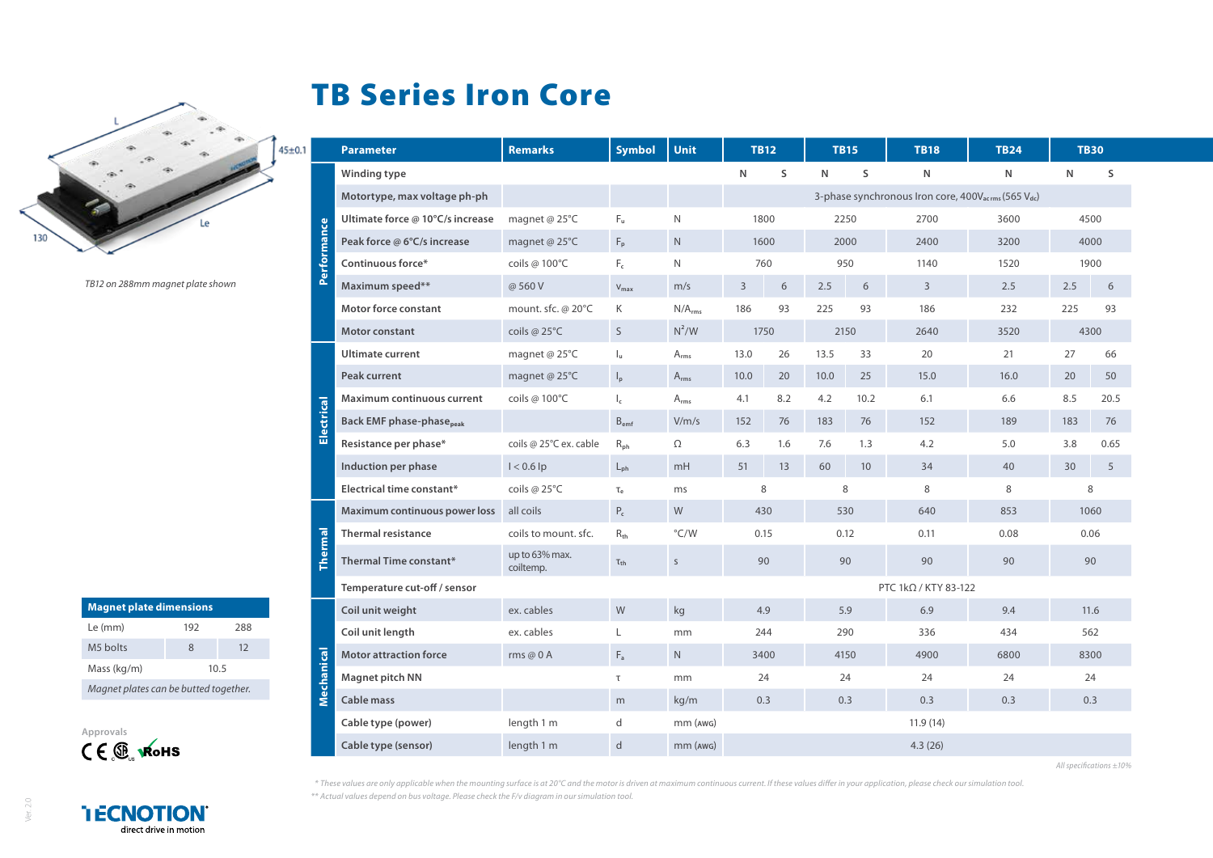## TB Series Iron Core

|     |  |    | $45 + 0.1$ |
|-----|--|----|------------|
|     |  |    |            |
|     |  |    |            |
|     |  |    |            |
| 130 |  | Le |            |
|     |  |    |            |

ᄎ

*TB12 on 288mm magnet plate shown*

| <b>Magnet plate dimensions</b>        |      |     |  |  |  |  |
|---------------------------------------|------|-----|--|--|--|--|
| Le (mm)                               | 192  | 288 |  |  |  |  |
| M5 holts                              | 8    | 12  |  |  |  |  |
| Mass (kg/m)                           | 10.5 |     |  |  |  |  |
| Magnet plates can be butted together. |      |     |  |  |  |  |



**I ECNOTION** direct drive in motion

|             | <b>Parameter</b>                            | <b>Remarks</b>              | <b>Symbol</b>      | Unit                        | <b>TB12</b>                                                                 |          | TB15 |      | <b>TB18</b>          | TB24 |      | TB30 |
|-------------|---------------------------------------------|-----------------------------|--------------------|-----------------------------|-----------------------------------------------------------------------------|----------|------|------|----------------------|------|------|------|
|             | Winding type                                |                             |                    |                             | N                                                                           | S        | N    | S    | N                    | N    | N    | S    |
| Performance | Motortype, max voltage ph-ph                |                             |                    |                             | 3-phase synchronous Iron core, 400V <sub>acrms</sub> (565 V <sub>dc</sub> ) |          |      |      |                      |      |      |      |
|             | Ultimate force @ 10°C/s increase            | magnet @ $25^{\circ}$ C     | $F_u$              | $\mathsf{N}$                |                                                                             | 1800     |      | 2250 | 2700                 | 3600 | 4500 |      |
|             | Peak force @ 6°C/s increase                 | magnet @ 25°C               | $F_p$              | $\mathsf{N}$                |                                                                             | 1600     |      | 2000 | 2400                 | 3200 | 4000 |      |
|             | Continuous force*                           | coils @ 100°C               | $F_c$              | $\mathsf{N}$                | 760                                                                         |          | 950  |      | 1140                 | 1520 | 1900 |      |
|             | Maximum speed**                             | @560V                       | $V_{\text{max}}$   | m/s                         | 3                                                                           | 6        | 2.5  | 6    | 3                    | 2.5  | 2.5  | 6    |
|             | <b>Motor force constant</b>                 | mount. sfc. @ 20°C          | K                  | N/A <sub>rms</sub>          | 186                                                                         | 93       | 225  | 93   | 186                  | 232  | 225  | 93   |
|             | <b>Motor constant</b>                       | coils @ $25^{\circ}$ C      | S                  | $N^2/W$                     | 1750<br>2150                                                                |          |      | 2640 | 3520                 |      | 4300 |      |
| Electrical  | <b>Ultimate current</b>                     | magnet @ $25^{\circ}$ C     | $I_u$              | $\mathsf{A}_{\mathsf{rms}}$ | 13.0                                                                        | 26       | 13.5 | 33   | 20                   | 21   | 27   | 66   |
|             | Peak current                                | magnet @ $25^{\circ}$ C     | $\mathsf{I}_p$     | $A_{rms}$                   | 10.0                                                                        | 20       | 10.0 | 25   | 15.0                 | 16.0 | 20   | 50   |
|             | <b>Maximum continuous current</b>           | coils @ 100°C               | $l_c$              | $A_{rms}$                   | 4.1                                                                         | 8.2      | 4.2  | 10.2 | 6.1                  | 6.6  | 8.5  | 20.5 |
|             | <b>Back EMF phase-phase</b> <sub>peak</sub> |                             | $B_{emf}$          | V/m/s                       | 152                                                                         | 76       | 183  | 76   | 152                  | 189  | 183  | 76   |
|             | Resistance per phase*                       | coils @ 25°C ex. cable      | $R_{ph}$           | Ω                           | 6.3                                                                         | 1.6      | 7.6  | 1.3  | 4.2                  | 5.0  | 3.8  | 0.65 |
|             | Induction per phase                         | $I < 0.6$ lp                | $L_{ph}$           | mH                          | 51                                                                          | 13       | 60   | 10   | 34                   | 40   | 30   | 5    |
|             | Electrical time constant*                   | coils @ $25^{\circ}$ C      | $T_{\rho}$         | ms                          | 8                                                                           |          | 8    |      | 8                    | 8    | 8    |      |
|             | Maximum continuous power loss               | all coils                   | $P_c$              | W                           | 430                                                                         |          | 530  |      | 640                  | 853  | 1060 |      |
|             | <b>Thermal resistance</b>                   | coils to mount, sfc.        | $R_{th}$           | $\degree$ C/W               | 0.15                                                                        |          | 0.12 |      | 0.11                 | 0.08 | 0.06 |      |
| hermal      | <b>Thermal Time constant*</b>               | up to 63% max.<br>coiltemp. | $\tau_{\text{th}}$ | $\mathsf S$                 | 90                                                                          |          | 90   |      | 90                   | 90   | 90   |      |
|             | Temperature cut-off / sensor                |                             |                    |                             |                                                                             |          |      |      | PTC 1kΩ / KTY 83-122 |      |      |      |
| Mechani     | Coil unit weight                            | ex. cables                  | W                  | kg                          | 4.9                                                                         |          | 5.9  |      | 6.9                  | 9.4  |      | 11.6 |
|             | Coil unit length                            | ex. cables                  | L                  | mm                          | 244                                                                         |          | 290  |      | 336                  | 434  | 562  |      |
|             | <b>Motor attraction force</b>               | rms $@0A$                   | $F_a$              | N                           | 3400                                                                        |          | 4150 |      | 4900                 | 6800 |      | 8300 |
|             | Magnet pitch NN                             |                             | $\tau$             | mm                          | 24                                                                          |          | 24   |      | 24                   | 24   |      | 24   |
|             | Cable mass                                  |                             | m                  | kg/m                        | 0.3                                                                         |          | 0.3  |      | 0.3                  | 0.3  |      | 0.3  |
|             | Cable type (power)                          | length 1 m                  | d                  | mm (AWG)                    |                                                                             | 11.9(14) |      |      |                      |      |      |      |
|             | Cable type (sensor)                         | length 1 m                  | d                  | $mm$ ( $AWG$ )              |                                                                             |          |      |      | 4.3(26)              |      |      |      |

*All specifications ±10%*

*\* These values are only applicable when the mounting surface is at 20°C and the motor is driven at maximum continuous current. If these values differ in your application, please check our simulation tool.*

*\*\* Actual values depend on bus voltage. Please check the F/v diagram in our simulation tool.*